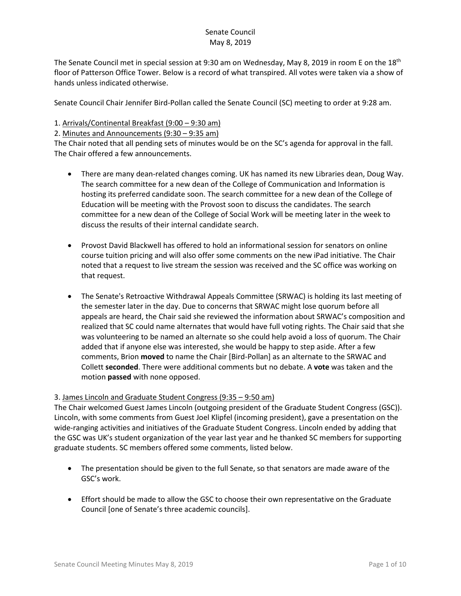The Senate Council met in special session at 9:30 am on Wednesday, May 8, 2019 in room E on the 18<sup>th</sup> floor of Patterson Office Tower. Below is a record of what transpired. All votes were taken via a show of hands unless indicated otherwise.

Senate Council Chair Jennifer Bird-Pollan called the Senate Council (SC) meeting to order at 9:28 am.

### 1. Arrivals/Continental Breakfast (9:00 – 9:30 am)

2. Minutes and Announcements (9:30 – 9:35 am)

The Chair noted that all pending sets of minutes would be on the SC's agenda for approval in the fall. The Chair offered a few announcements.

- There are many dean-related changes coming. UK has named its new Libraries dean, Doug Way. The search committee for a new dean of the College of Communication and Information is hosting its preferred candidate soon. The search committee for a new dean of the College of Education will be meeting with the Provost soon to discuss the candidates. The search committee for a new dean of the College of Social Work will be meeting later in the week to discuss the results of their internal candidate search.
- Provost David Blackwell has offered to hold an informational session for senators on online course tuition pricing and will also offer some comments on the new iPad initiative. The Chair noted that a request to live stream the session was received and the SC office was working on that request.
- The Senate's Retroactive Withdrawal Appeals Committee (SRWAC) is holding its last meeting of the semester later in the day. Due to concerns that SRWAC might lose quorum before all appeals are heard, the Chair said she reviewed the information about SRWAC's composition and realized that SC could name alternates that would have full voting rights. The Chair said that she was volunteering to be named an alternate so she could help avoid a loss of quorum. The Chair added that if anyone else was interested, she would be happy to step aside. After a few comments, Brion **moved** to name the Chair [Bird-Pollan] as an alternate to the SRWAC and Collett **seconded**. There were additional comments but no debate. A **vote** was taken and the motion **passed** with none opposed.

### 3. James Lincoln and Graduate Student Congress (9:35 – 9:50 am)

The Chair welcomed Guest James Lincoln (outgoing president of the Graduate Student Congress (GSC)). Lincoln, with some comments from Guest Joel Klipfel (incoming president), gave a presentation on the wide-ranging activities and initiatives of the Graduate Student Congress. Lincoln ended by adding that the GSC was UK's student organization of the year last year and he thanked SC members for supporting graduate students. SC members offered some comments, listed below.

- The presentation should be given to the full Senate, so that senators are made aware of the GSC's work.
- Effort should be made to allow the GSC to choose their own representative on the Graduate Council [one of Senate's three academic councils].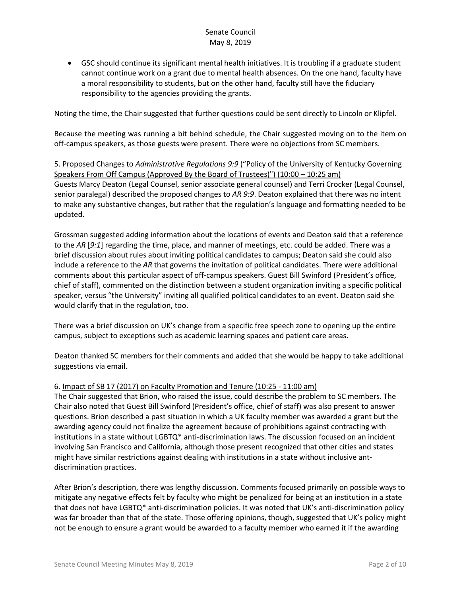• GSC should continue its significant mental health initiatives. It is troubling if a graduate student cannot continue work on a grant due to mental health absences. On the one hand, faculty have a moral responsibility to students, but on the other hand, faculty still have the fiduciary responsibility to the agencies providing the grants.

Noting the time, the Chair suggested that further questions could be sent directly to Lincoln or Klipfel.

Because the meeting was running a bit behind schedule, the Chair suggested moving on to the item on off-campus speakers, as those guests were present. There were no objections from SC members.

5. Proposed Changes to *Administrative Regulations 9:9* ("Policy of the University of Kentucky Governing Speakers From Off Campus (Approved By the Board of Trustees)") (10:00 – 10:25 am) Guests Marcy Deaton (Legal Counsel, senior associate general counsel) and Terri Crocker (Legal Counsel, senior paralegal) described the proposed changes to *AR 9:9*. Deaton explained that there was no intent to make any substantive changes, but rather that the regulation's language and formatting needed to be updated.

Grossman suggested adding information about the locations of events and Deaton said that a reference to the *AR* [*9:1*] regarding the time, place, and manner of meetings, etc. could be added. There was a brief discussion about rules about inviting political candidates to campus; Deaton said she could also include a reference to the *AR* that governs the invitation of political candidates. There were additional comments about this particular aspect of off-campus speakers. Guest Bill Swinford (President's office, chief of staff), commented on the distinction between a student organization inviting a specific political speaker, versus "the University" inviting all qualified political candidates to an event. Deaton said she would clarify that in the regulation, too.

There was a brief discussion on UK's change from a specific free speech zone to opening up the entire campus, subject to exceptions such as academic learning spaces and patient care areas.

Deaton thanked SC members for their comments and added that she would be happy to take additional suggestions via email.

### 6. Impact of SB 17 (2017) on Faculty Promotion and Tenure (10:25 - 11:00 am)

The Chair suggested that Brion, who raised the issue, could describe the problem to SC members. The Chair also noted that Guest Bill Swinford (President's office, chief of staff) was also present to answer questions. Brion described a past situation in which a UK faculty member was awarded a grant but the awarding agency could not finalize the agreement because of prohibitions against contracting with institutions in a state without LGBTQ\* anti-discrimination laws. The discussion focused on an incident involving San Francisco and California, although those present recognized that other cities and states might have similar restrictions against dealing with institutions in a state without inclusive antdiscrimination practices.

After Brion's description, there was lengthy discussion. Comments focused primarily on possible ways to mitigate any negative effects felt by faculty who might be penalized for being at an institution in a state that does not have LGBTQ\* anti-discrimination policies. It was noted that UK's anti-discrimination policy was far broader than that of the state. Those offering opinions, though, suggested that UK's policy might not be enough to ensure a grant would be awarded to a faculty member who earned it if the awarding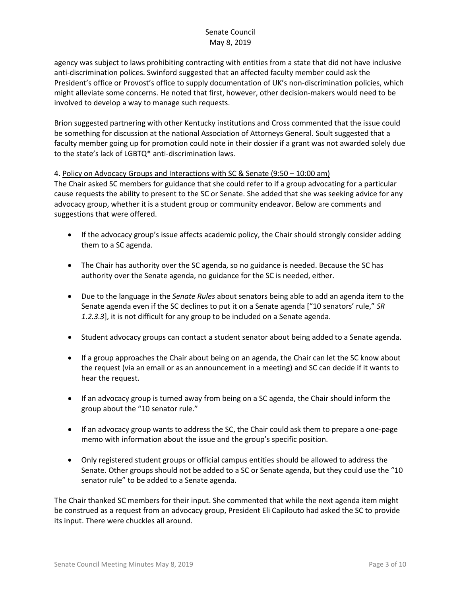agency was subject to laws prohibiting contracting with entities from a state that did not have inclusive anti-discrimination polices. Swinford suggested that an affected faculty member could ask the President's office or Provost's office to supply documentation of UK's non-discrimination policies, which might alleviate some concerns. He noted that first, however, other decision-makers would need to be involved to develop a way to manage such requests.

Brion suggested partnering with other Kentucky institutions and Cross commented that the issue could be something for discussion at the national Association of Attorneys General. Soult suggested that a faculty member going up for promotion could note in their dossier if a grant was not awarded solely due to the state's lack of LGBTQ\* anti-discrimination laws.

### 4. Policy on Advocacy Groups and Interactions with SC & Senate (9:50 – 10:00 am)

The Chair asked SC members for guidance that she could refer to if a group advocating for a particular cause requests the ability to present to the SC or Senate. She added that she was seeking advice for any advocacy group, whether it is a student group or community endeavor. Below are comments and suggestions that were offered.

- If the advocacy group's issue affects academic policy, the Chair should strongly consider adding them to a SC agenda.
- The Chair has authority over the SC agenda, so no guidance is needed. Because the SC has authority over the Senate agenda, no guidance for the SC is needed, either.
- Due to the language in the *Senate Rules* about senators being able to add an agenda item to the Senate agenda even if the SC declines to put it on a Senate agenda ["10 senators' rule," *SR 1.2.3.3*], it is not difficult for any group to be included on a Senate agenda.
- Student advocacy groups can contact a student senator about being added to a Senate agenda.
- If a group approaches the Chair about being on an agenda, the Chair can let the SC know about the request (via an email or as an announcement in a meeting) and SC can decide if it wants to hear the request.
- If an advocacy group is turned away from being on a SC agenda, the Chair should inform the group about the "10 senator rule."
- If an advocacy group wants to address the SC, the Chair could ask them to prepare a one-page memo with information about the issue and the group's specific position.
- Only registered student groups or official campus entities should be allowed to address the Senate. Other groups should not be added to a SC or Senate agenda, but they could use the "10 senator rule" to be added to a Senate agenda.

The Chair thanked SC members for their input. She commented that while the next agenda item might be construed as a request from an advocacy group, President Eli Capilouto had asked the SC to provide its input. There were chuckles all around.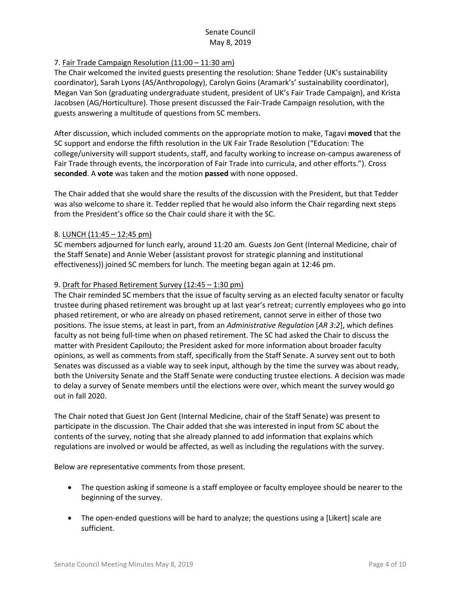# 7. Fair Trade Campaign Resolution (11:00 – 11:30 am)

The Chair welcomed the invited guests presenting the resolution: Shane Tedder (UK's sustainability coordinator), Sarah Lyons (AS/Anthropology), Carolyn Goins (Aramark's' sustainability coordinator), Megan Van Son (graduating undergraduate student, president of UK's Fair Trade Campaign), and Krista Jacobsen (AG/Horticulture). Those present discussed the Fair-Trade Campaign resolution, with the guests answering a multitude of questions from SC members.

After discussion, which included comments on the appropriate motion to make, Tagavi **moved** that the SC support and endorse the fifth resolution in the UK Fair Trade Resolution ("Education: The college/university will support students, staff, and faculty working to increase on-campus awareness of Fair Trade through events, the incorporation of Fair Trade into curricula, and other efforts."). Cross **seconded**. A **vote** was taken and the motion **passed** with none opposed.

The Chair added that she would share the results of the discussion with the President, but that Tedder was also welcome to share it. Tedder replied that he would also inform the Chair regarding next steps from the President's office so the Chair could share it with the SC.

### 8. LUNCH (11:45 – 12:45 pm)

SC members adjourned for lunch early, around 11:20 am. Guests Jon Gent (Internal Medicine, chair of the Staff Senate) and Annie Weber (assistant provost for strategic planning and institutional effectiveness)) joined SC members for lunch. The meeting began again at 12:46 pm.

### 9. Draft for Phased Retirement Survey (12:45 – 1:30 pm)

The Chair reminded SC members that the issue of faculty serving as an elected faculty senator or faculty trustee during phased retirement was brought up at last year's retreat; currently employees who go into phased retirement, or who are already on phased retirement, cannot serve in either of those two positions. The issue stems, at least in part, from an *Administrative Regulation* [*AR 3:2*], which defines faculty as not being full-time when on phased retirement. The SC had asked the Chair to discuss the matter with President Capilouto; the President asked for more information about broader faculty opinions, as well as comments from staff, specifically from the Staff Senate. A survey sent out to both Senates was discussed as a viable way to seek input, although by the time the survey was about ready, both the University Senate and the Staff Senate were conducting trustee elections. A decision was made to delay a survey of Senate members until the elections were over, which meant the survey would go out in fall 2020.

The Chair noted that Guest Jon Gent (Internal Medicine, chair of the Staff Senate) was present to participate in the discussion. The Chair added that she was interested in input from SC about the contents of the survey, noting that she already planned to add information that explains which regulations are involved or would be affected, as well as including the regulations with the survey.

Below are representative comments from those present.

- The question asking if someone is a staff employee or faculty employee should be nearer to the beginning of the survey.
- The open-ended questions will be hard to analyze; the questions using a [Likert] scale are sufficient.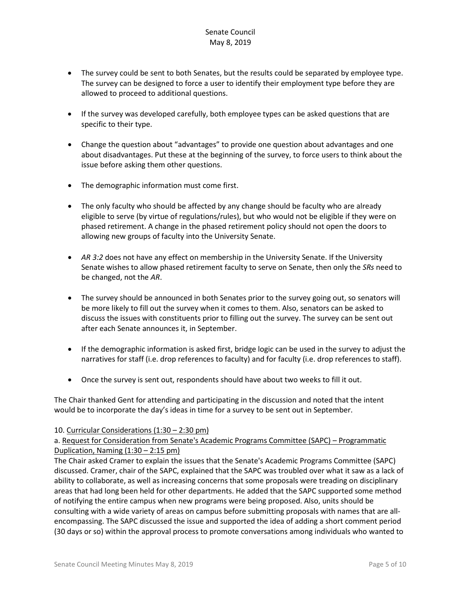- The survey could be sent to both Senates, but the results could be separated by employee type. The survey can be designed to force a user to identify their employment type before they are allowed to proceed to additional questions.
- If the survey was developed carefully, both employee types can be asked questions that are specific to their type.
- Change the question about "advantages" to provide one question about advantages and one about disadvantages. Put these at the beginning of the survey, to force users to think about the issue before asking them other questions.
- The demographic information must come first.
- The only faculty who should be affected by any change should be faculty who are already eligible to serve (by virtue of regulations/rules), but who would not be eligible if they were on phased retirement. A change in the phased retirement policy should not open the doors to allowing new groups of faculty into the University Senate.
- *AR 3:2* does not have any effect on membership in the University Senate. If the University Senate wishes to allow phased retirement faculty to serve on Senate, then only the *SRs* need to be changed, not the *AR*.
- The survey should be announced in both Senates prior to the survey going out, so senators will be more likely to fill out the survey when it comes to them. Also, senators can be asked to discuss the issues with constituents prior to filling out the survey. The survey can be sent out after each Senate announces it, in September.
- If the demographic information is asked first, bridge logic can be used in the survey to adjust the narratives for staff (i.e. drop references to faculty) and for faculty (i.e. drop references to staff).
- Once the survey is sent out, respondents should have about two weeks to fill it out.

The Chair thanked Gent for attending and participating in the discussion and noted that the intent would be to incorporate the day's ideas in time for a survey to be sent out in September.

### 10. Curricular Considerations (1:30 – 2:30 pm)

a. Request for Consideration from Senate's Academic Programs Committee (SAPC) – Programmatic Duplication, Naming  $(1:30 - 2:15 \text{ pm})$ 

The Chair asked Cramer to explain the issues that the Senate's Academic Programs Committee (SAPC) discussed. Cramer, chair of the SAPC, explained that the SAPC was troubled over what it saw as a lack of ability to collaborate, as well as increasing concerns that some proposals were treading on disciplinary areas that had long been held for other departments. He added that the SAPC supported some method of notifying the entire campus when new programs were being proposed. Also, units should be consulting with a wide variety of areas on campus before submitting proposals with names that are allencompassing. The SAPC discussed the issue and supported the idea of adding a short comment period (30 days or so) within the approval process to promote conversations among individuals who wanted to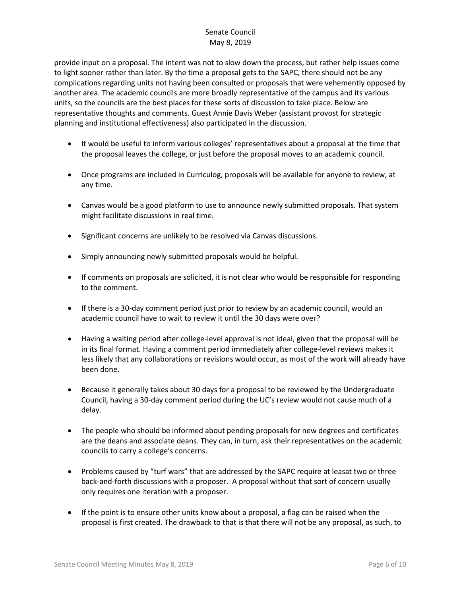provide input on a proposal. The intent was not to slow down the process, but rather help issues come to light sooner rather than later. By the time a proposal gets to the SAPC, there should not be any complications regarding units not having been consulted or proposals that were vehemently opposed by another area. The academic councils are more broadly representative of the campus and its various units, so the councils are the best places for these sorts of discussion to take place. Below are representative thoughts and comments. Guest Annie Davis Weber (assistant provost for strategic planning and institutional effectiveness) also participated in the discussion.

- It would be useful to inform various colleges' representatives about a proposal at the time that the proposal leaves the college, or just before the proposal moves to an academic council.
- Once programs are included in Curriculog, proposals will be available for anyone to review, at any time.
- Canvas would be a good platform to use to announce newly submitted proposals. That system might facilitate discussions in real time.
- Significant concerns are unlikely to be resolved via Canvas discussions.
- Simply announcing newly submitted proposals would be helpful.
- If comments on proposals are solicited, it is not clear who would be responsible for responding to the comment.
- If there is a 30-day comment period just prior to review by an academic council, would an academic council have to wait to review it until the 30 days were over?
- Having a waiting period after college-level approval is not ideal, given that the proposal will be in its final format. Having a comment period immediately after college-level reviews makes it less likely that any collaborations or revisions would occur, as most of the work will already have been done.
- Because it generally takes about 30 days for a proposal to be reviewed by the Undergraduate Council, having a 30-day comment period during the UC's review would not cause much of a delay.
- The people who should be informed about pending proposals for new degrees and certificates are the deans and associate deans. They can, in turn, ask their representatives on the academic councils to carry a college's concerns.
- Problems caused by "turf wars" that are addressed by the SAPC require at leasat two or three back-and-forth discussions with a proposer. A proposal without that sort of concern usually only requires one iteration with a proposer.
- If the point is to ensure other units know about a proposal, a flag can be raised when the proposal is first created. The drawback to that is that there will not be any proposal, as such, to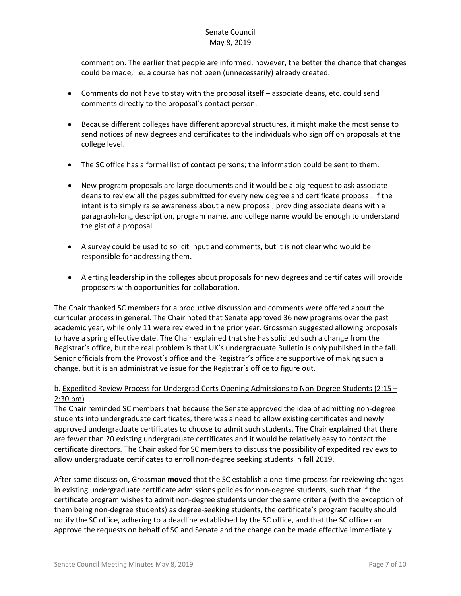comment on. The earlier that people are informed, however, the better the chance that changes could be made, i.e. a course has not been (unnecessarily) already created.

- Comments do not have to stay with the proposal itself associate deans, etc. could send comments directly to the proposal's contact person.
- Because different colleges have different approval structures, it might make the most sense to send notices of new degrees and certificates to the individuals who sign off on proposals at the college level.
- The SC office has a formal list of contact persons; the information could be sent to them.
- New program proposals are large documents and it would be a big request to ask associate deans to review all the pages submitted for every new degree and certificate proposal. If the intent is to simply raise awareness about a new proposal, providing associate deans with a paragraph-long description, program name, and college name would be enough to understand the gist of a proposal.
- A survey could be used to solicit input and comments, but it is not clear who would be responsible for addressing them.
- Alerting leadership in the colleges about proposals for new degrees and certificates will provide proposers with opportunities for collaboration.

The Chair thanked SC members for a productive discussion and comments were offered about the curricular process in general. The Chair noted that Senate approved 36 new programs over the past academic year, while only 11 were reviewed in the prior year. Grossman suggested allowing proposals to have a spring effective date. The Chair explained that she has solicited such a change from the Registrar's office, but the real problem is that UK's undergraduate Bulletin is only published in the fall. Senior officials from the Provost's office and the Registrar's office are supportive of making such a change, but it is an administrative issue for the Registrar's office to figure out.

## b. Expedited Review Process for Undergrad Certs Opening Admissions to Non-Degree Students (2:15 -2:30 pm)

The Chair reminded SC members that because the Senate approved the idea of admitting non-degree students into undergraduate certificates, there was a need to allow existing certificates and newly approved undergraduate certificates to choose to admit such students. The Chair explained that there are fewer than 20 existing undergraduate certificates and it would be relatively easy to contact the certificate directors. The Chair asked for SC members to discuss the possibility of expedited reviews to allow undergraduate certificates to enroll non-degree seeking students in fall 2019.

After some discussion, Grossman **moved** that the SC establish a one-time process for reviewing changes in existing undergraduate certificate admissions policies for non-degree students, such that if the certificate program wishes to admit non-degree students under the same criteria (with the exception of them being non-degree students) as degree-seeking students, the certificate's program faculty should notify the SC office, adhering to a deadline established by the SC office, and that the SC office can approve the requests on behalf of SC and Senate and the change can be made effective immediately.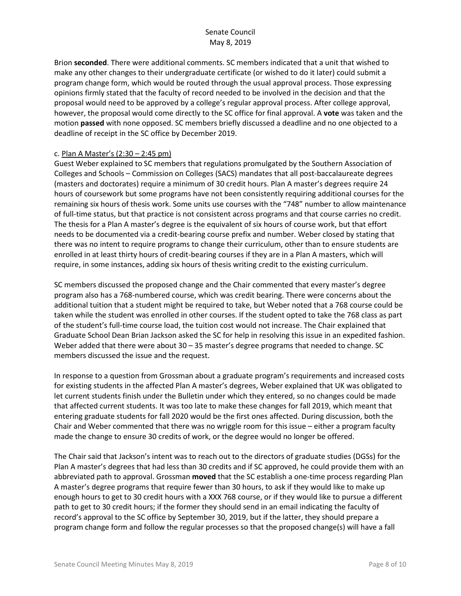Brion **seconded**. There were additional comments. SC members indicated that a unit that wished to make any other changes to their undergraduate certificate (or wished to do it later) could submit a program change form, which would be routed through the usual approval process. Those expressing opinions firmly stated that the faculty of record needed to be involved in the decision and that the proposal would need to be approved by a college's regular approval process. After college approval, however, the proposal would come directly to the SC office for final approval. A **vote** was taken and the motion **passed** with none opposed. SC members briefly discussed a deadline and no one objected to a deadline of receipt in the SC office by December 2019.

### c. Plan A Master's (2:30 – 2:45 pm)

Guest Weber explained to SC members that regulations promulgated by the Southern Association of Colleges and Schools – Commission on Colleges (SACS) mandates that all post-baccalaureate degrees (masters and doctorates) require a minimum of 30 credit hours. Plan A master's degrees require 24 hours of coursework but some programs have not been consistently requiring additional courses for the remaining six hours of thesis work. Some units use courses with the "748" number to allow maintenance of full-time status, but that practice is not consistent across programs and that course carries no credit. The thesis for a Plan A master's degree is the equivalent of six hours of course work, but that effort needs to be documented via a credit-bearing course prefix and number. Weber closed by stating that there was no intent to require programs to change their curriculum, other than to ensure students are enrolled in at least thirty hours of credit-bearing courses if they are in a Plan A masters, which will require, in some instances, adding six hours of thesis writing credit to the existing curriculum.

SC members discussed the proposed change and the Chair commented that every master's degree program also has a 768-numbered course, which was credit bearing. There were concerns about the additional tuition that a student might be required to take, but Weber noted that a 768 course could be taken while the student was enrolled in other courses. If the student opted to take the 768 class as part of the student's full-time course load, the tuition cost would not increase. The Chair explained that Graduate School Dean Brian Jackson asked the SC for help in resolving this issue in an expedited fashion. Weber added that there were about 30 – 35 master's degree programs that needed to change. SC members discussed the issue and the request.

In response to a question from Grossman about a graduate program's requirements and increased costs for existing students in the affected Plan A master's degrees, Weber explained that UK was obligated to let current students finish under the Bulletin under which they entered, so no changes could be made that affected current students. It was too late to make these changes for fall 2019, which meant that entering graduate students for fall 2020 would be the first ones affected. During discussion, both the Chair and Weber commented that there was no wriggle room for this issue – either a program faculty made the change to ensure 30 credits of work, or the degree would no longer be offered.

The Chair said that Jackson's intent was to reach out to the directors of graduate studies (DGSs) for the Plan A master's degrees that had less than 30 credits and if SC approved, he could provide them with an abbreviated path to approval. Grossman **moved** that the SC establish a one-time process regarding Plan A master's degree programs that require fewer than 30 hours, to ask if they would like to make up enough hours to get to 30 credit hours with a XXX 768 course, or if they would like to pursue a different path to get to 30 credit hours; if the former they should send in an email indicating the faculty of record's approval to the SC office by September 30, 2019, but if the latter, they should prepare a program change form and follow the regular processes so that the proposed change(s) will have a fall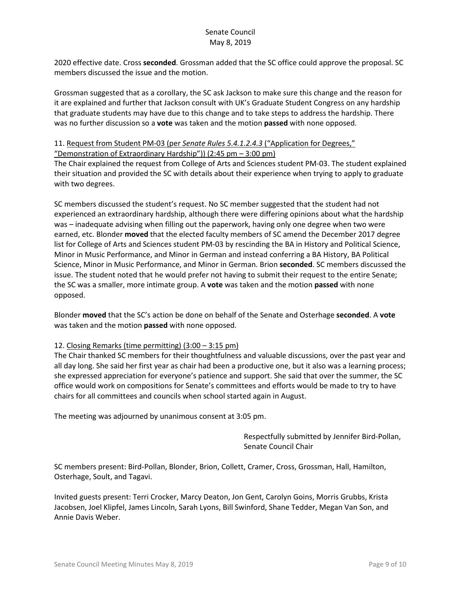2020 effective date. Cross **seconded**. Grossman added that the SC office could approve the proposal. SC members discussed the issue and the motion.

Grossman suggested that as a corollary, the SC ask Jackson to make sure this change and the reason for it are explained and further that Jackson consult with UK's Graduate Student Congress on any hardship that graduate students may have due to this change and to take steps to address the hardship. There was no further discussion so a **vote** was taken and the motion **passed** with none opposed.

### 11. Request from Student PM-03 (per *Senate Rules 5.4.1.2.4.3* ("Application for Degrees,"

"Demonstration of Extraordinary Hardship"))  $(2:45 \text{ pm} - 3:00 \text{ pm})$ 

The Chair explained the request from College of Arts and Sciences student PM-03. The student explained their situation and provided the SC with details about their experience when trying to apply to graduate with two degrees.

SC members discussed the student's request. No SC member suggested that the student had not experienced an extraordinary hardship, although there were differing opinions about what the hardship was – inadequate advising when filling out the paperwork, having only one degree when two were earned, etc. Blonder **moved** that the elected faculty members of SC amend the December 2017 degree list for College of Arts and Sciences student PM-03 by rescinding the BA in History and Political Science, Minor in Music Performance, and Minor in German and instead conferring a BA History, BA Political Science, Minor in Music Performance, and Minor in German. Brion **seconded**. SC members discussed the issue. The student noted that he would prefer not having to submit their request to the entire Senate; the SC was a smaller, more intimate group. A **vote** was taken and the motion **passed** with none opposed.

Blonder **moved** that the SC's action be done on behalf of the Senate and Osterhage **seconded**. A **vote** was taken and the motion **passed** with none opposed.

### 12. Closing Remarks (time permitting) (3:00 – 3:15 pm)

The Chair thanked SC members for their thoughtfulness and valuable discussions, over the past year and all day long. She said her first year as chair had been a productive one, but it also was a learning process; she expressed appreciation for everyone's patience and support. She said that over the summer, the SC office would work on compositions for Senate's committees and efforts would be made to try to have chairs for all committees and councils when school started again in August.

The meeting was adjourned by unanimous consent at 3:05 pm.

Respectfully submitted by Jennifer Bird-Pollan, Senate Council Chair

SC members present: Bird-Pollan, Blonder, Brion, Collett, Cramer, Cross, Grossman, Hall, Hamilton, Osterhage, Soult, and Tagavi.

Invited guests present: Terri Crocker, Marcy Deaton, Jon Gent, Carolyn Goins, Morris Grubbs, Krista Jacobsen, Joel Klipfel, James Lincoln, Sarah Lyons, Bill Swinford, Shane Tedder, Megan Van Son, and Annie Davis Weber.